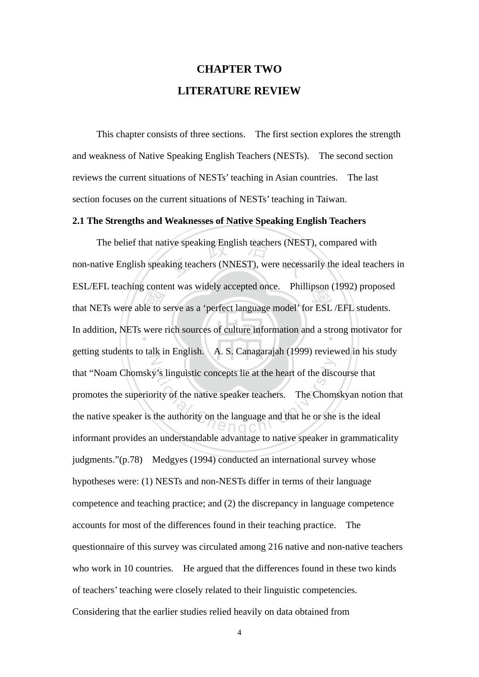# **CHAPTER TWO LITERATURE REVIEW**

 This chapter consists of three sections. The first section explores the strength and weakness of Native Speaking English Teachers (NESTs). The second section reviews the current situations of NESTs' teaching in Asian countries. The last section focuses on the current situations of NESTs' teaching in Taiwan.

## **2.1 The Strengths and Weaknesses of Native Speaking English Teachers**

ESL/EFL teaching collective as which y accepted once. Frimnpson (1992) proposed<br>that NETs were able to serve as a 'perfect language model' for ESL /EFL students.<br>In addition, NETs were rich sources of culture information a The belief that native speaking English teachers (NEST), compared with<br>ative English speaking teachers (NNEST), were necessarily the ideal teac In addition, NETs were rich sources of culture information and a strong motivator for N y's linguistic concepts lie at the heart of the disc<br>prity of the native speaker teachers. The Chome<br>the authority on the language and that he or she<br>end of all  $\theta$ non-native English speaking teachers (NNEST), were necessarily the ideal teachers in ESL/EFL teaching content was widely accepted once. Phillipson (1992) proposed getting students to talk in English.  $\setminus$  A. S. Canagarajah (1999) reviewed in his study that "Noam Chomsky's linguistic concepts lie at the heart of the discourse that promotes the superiority of the native speaker teachers. The Chomskyan notion that the native speaker is the authority on the language and that he or she is the ideal informant provides an understandable advantage to native speaker in grammaticality judgments."(p.78) Medgyes (1994) conducted an international survey whose hypotheses were: (1) NESTs and non-NESTs differ in terms of their language competence and teaching practice; and (2) the discrepancy in language competence accounts for most of the differences found in their teaching practice. The questionnaire of this survey was circulated among 216 native and non-native teachers who work in 10 countries. He argued that the differences found in these two kinds of teachers' teaching were closely related to their linguistic competencies. Considering that the earlier studies relied heavily on data obtained from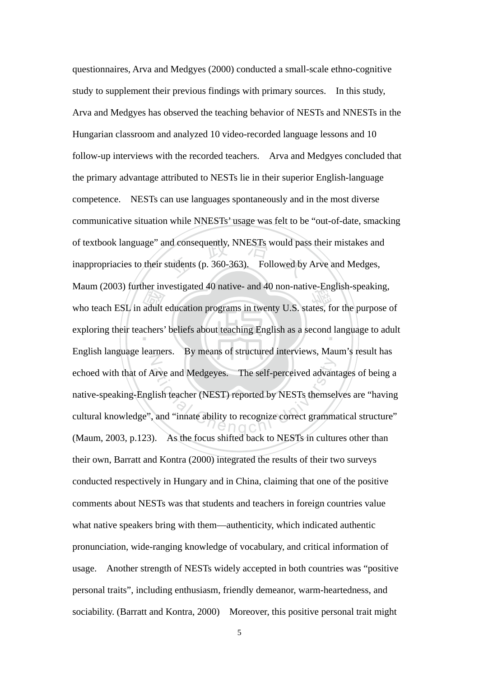who teach ESL in adult education programs in twenty U.S. states, for the purpose of exploring their teachers' beliefs about teaching English as a second language to adult of textbook language" and consequently, NNESTs would pass their mistakes and<br>inappropriacies to their students (p. 360-363). Followed by Arve and Medges, exploring their teachers' beliefs about teaching English as a second language to adult N Arve and Medgeyes. The self-perceived advant<br>lish teacher (NEST) reported by NESTs themsel<br>and "innate ability to recognize correct gramma" questionnaires, Arva and Medgyes (2000) conducted a small-scale ethno-cognitive study to supplement their previous findings with primary sources. In this study, Arva and Medgyes has observed the teaching behavior of NESTs and NNESTs in the Hungarian classroom and analyzed 10 video-recorded language lessons and 10 follow-up interviews with the recorded teachers. Arva and Medgyes concluded that the primary advantage attributed to NESTs lie in their superior English-language competence. NESTs can use languages spontaneously and in the most diverse communicative situation while NNESTs' usage was felt to be "out-of-date, smacking inappropriacies to their students (p. 360-363). Followed by Arve and Medges, Maum (2003) further investigated 40 native- and 40 non-native-English-speaking, English language learners. By means of structured interviews, Maum's result has echoed with that of Arve and Medgeyes. The self-perceived advantages of being a native-speaking-English teacher (NEST) reported by NESTs themselves are "having cultural knowledge", and "innate ability to recognize correct grammatical structure" (Maum, 2003, p.123). As the focus shifted back to NESTs in cultures other than their own, Barratt and Kontra (2000) integrated the results of their two surveys conducted respectively in Hungary and in China, claiming that one of the positive comments about NESTs was that students and teachers in foreign countries value what native speakers bring with them—authenticity, which indicated authentic pronunciation, wide-ranging knowledge of vocabulary, and critical information of usage. Another strength of NESTs widely accepted in both countries was "positive personal traits", including enthusiasm, friendly demeanor, warm-heartedness, and sociability. (Barratt and Kontra, 2000) Moreover, this positive personal trait might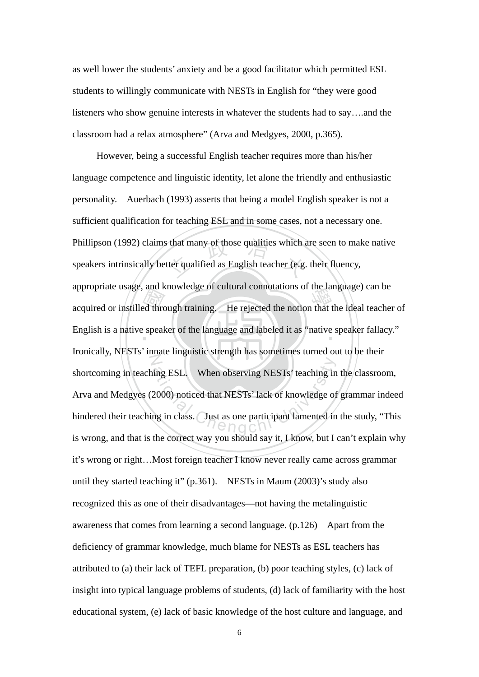as well lower the students' anxiety and be a good facilitator which permitted ESL students to willingly communicate with NESTs in English for "they were good listeners who show genuine interests in whatever the students had to say….and the classroom had a relax atmosphere" (Arva and Medgyes, 2000, p.365).

appropriate usage, and knowledge or cultural commodations of the language) can be<br>acquired or instilled through training. He rejected the notion that the ideal teacher of<br>English is a native speaker of the language and lab Phillipson (1992) claims that many of those qualities which are seen to make native<br>speakers intrinsically better qualified as English teacher (e.g. their fluency, English is a native speaker of the language and labeled it as "native speaker fallacy." N ing ESL. When observing NESTs' teaching in<br>2000) noticed that NESTs' lack of knowledge of<br>ng in class. Just as one participant lamented in However, being a successful English teacher requires more than his/her language competence and linguistic identity, let alone the friendly and enthusiastic personality. Auerbach (1993) asserts that being a model English speaker is not a sufficient qualification for teaching ESL and in some cases, not a necessary one. speakers intrinsically better qualified as English teacher (e.g. their fluency, appropriate usage, and knowledge of cultural connotations of the language) can be Ironically, NESTs' innate linguistic strength has sometimes turned out to be their shortcoming in teaching ESL. When observing NESTs' teaching in the classroom, Arva and Medgyes (2000) noticed that NESTs' lack of knowledge of grammar indeed hindered their teaching in class. Just as one participant lamented in the study, "This is wrong, and that is the correct way you should say it, I know, but I can't explain why it's wrong or right…Most foreign teacher I know never really came across grammar until they started teaching it" (p.361). NESTs in Maum (2003)'s study also recognized this as one of their disadvantages—not having the metalinguistic awareness that comes from learning a second language. (p.126) Apart from the deficiency of grammar knowledge, much blame for NESTs as ESL teachers has attributed to (a) their lack of TEFL preparation, (b) poor teaching styles, (c) lack of insight into typical language problems of students, (d) lack of familiarity with the host educational system, (e) lack of basic knowledge of the host culture and language, and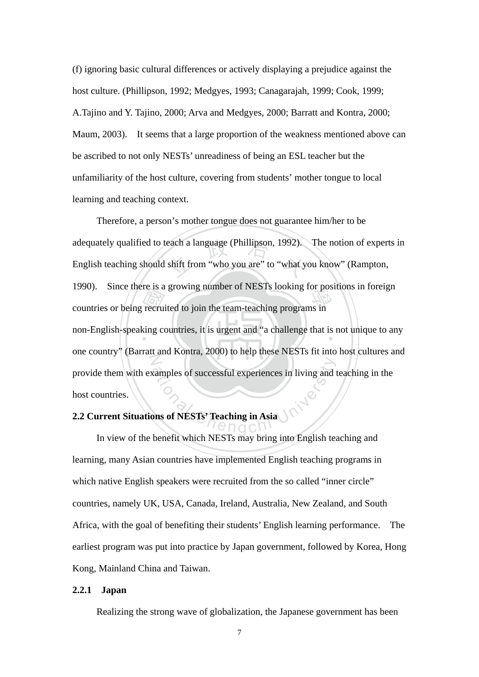(f) ignoring basic cultural differences or actively displaying a prejudice against the host culture. (Phillipson, 1992; Medgyes, 1993; Canagarajah, 1999; Cook, 1999; A.Tajino and Y. Tajino, 2000; Arva and Medgyes, 2000; Barratt and Kontra, 2000; Maum, 2003). It seems that a large proportion of the weakness mentioned above can be ascribed to not only NESTs' unreadiness of being an ESL teacher but the unfamiliarity of the host culture, covering from students' mother tongue to local learning and teaching context.

Extra countries or being recruited to join the team-teaching programs in<br>non-English-speaking countries, it is urgent and "a challenge that is adequately qualified to teach a language (Phillipson, 1992). The notion of experts in<br>English teaching should shift from "who you are" to "what you know" (Rampton, non-English-speaking countries, it is urgent and "a challenge that is not unique to any N Examples of successful experiences in living and Therefore, a person's mother tongue does not guarantee him/her to be English teaching should shift from "who you are" to "what you know" (Rampton, 1990). Since there is a growing number of NESTs looking for positions in foreign one country" (Barratt and Kontra, 2000) to help these NESTs fit into host cultures and provide them with examples of successful experiences in living and teaching in the host countries.

## **2.2 Current Situations of NESTs' Teaching in Asia**

 In view of the benefit which NESTs may bring into English teaching and learning, many Asian countries have implemented English teaching programs in which native English speakers were recruited from the so called "inner circle" countries, namely UK, USA, Canada, Ireland, Australia, New Zealand, and South Africa, with the goal of benefiting their students' English learning performance. The earliest program was put into practice by Japan government, followed by Korea, Hong Kong, Mainland China and Taiwan.

## **2.2.1 Japan**

Realizing the strong wave of globalization, the Japanese government has been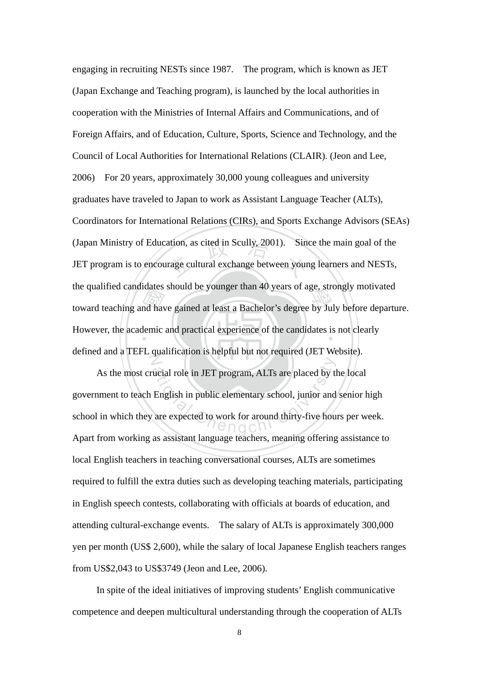toward teaching and have gained at least a Bachelor's degree by July before departure.<br>However, the academic and practical experience of the candidates is not clearly ation, as cited in Scully, 2001). Sin<br>rage cultural exchange between your However, the academic and practical experience of the candidates is not clearly  $\mathbb{Z}$ engaging in recruiting NESTs since 1987. The program, which is known as JET (Japan Exchange and Teaching program), is launched by the local authorities in cooperation with the Ministries of Internal Affairs and Communications, and of Foreign Affairs, and of Education, Culture, Sports, Science and Technology, and the Council of Local Authorities for International Relations (CLAIR). (Jeon and Lee, 2006) For 20 years, approximately 30,000 young colleagues and university graduates have traveled to Japan to work as Assistant Language Teacher (ALTs), Coordinators for International Relations (CIRs), and Sports Exchange Advisors (SEAs) (Japan Ministry of Education, as cited in Scully, 2001). Since the main goal of the JET program is to encourage cultural exchange between young learners and NESTs, the qualified candidates should be younger than 40 years of age, strongly motivated defined and a TEFL qualification is helpful but not required (JET Website).

ucial role in JET program, ALTs are placed by the English in public elementary school, junior and are expected to work for around thirty-five house As the most crucial role in JET program, ALTs are placed by the local government to teach English in public elementary school, junior and senior high school in which they are expected to work for around thirty-five hours per week. Apart from working as assistant language teachers, meaning offering assistance to local English teachers in teaching conversational courses, ALTs are sometimes required to fulfill the extra duties such as developing teaching materials, participating in English speech contests, collaborating with officials at boards of education, and attending cultural-exchange events. The salary of ALTs is approximately 300,000 yen per month (US\$ 2,600), while the salary of local Japanese English teachers ranges from US\$2,043 to US\$3749 (Jeon and Lee, 2006).

In spite of the ideal initiatives of improving students' English communicative competence and deepen multicultural understanding through the cooperation of ALTs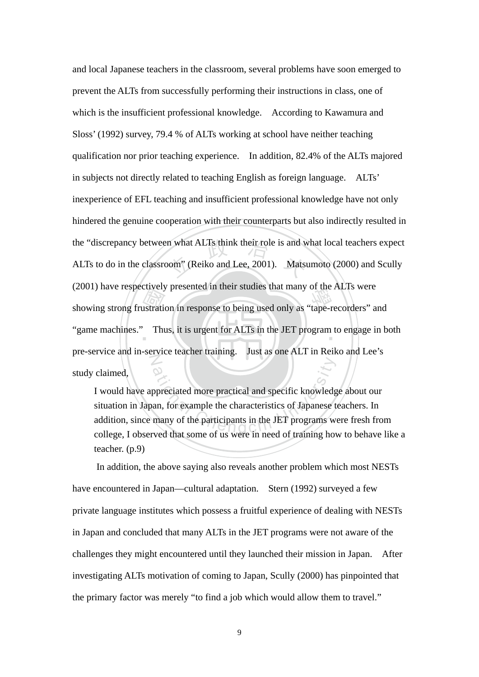showing strong frustration in response to being used only as "tape-recorders" and<br>"game machines." Thus, it is urgent for ALTs in the JET program to engage in b the "discrepancy between what ALTs think their role is and what local teachers expect<br>ALTs to do in the classroom" (Reiko and Lee, 2001). Matsumoto (2000) and Scully "game machines." Thus, it is urgent for ALTs in the JET program to engage in both N and local Japanese teachers in the classroom, several problems have soon emerged to prevent the ALTs from successfully performing their instructions in class, one of which is the insufficient professional knowledge. According to Kawamura and Sloss' (1992) survey, 79.4 % of ALTs working at school have neither teaching qualification nor prior teaching experience. In addition, 82.4% of the ALTs majored in subjects not directly related to teaching English as foreign language. ALTs' inexperience of EFL teaching and insufficient professional knowledge have not only hindered the genuine cooperation with their counterparts but also indirectly resulted in ALTs to do in the classroom" (Reiko and Lee, 2001). Matsumoto (2000) and Scully (2001) have respectively presented in their studies that many of the ALTs were pre-service and in-service teacher training. Just as one ALT in Reiko and Lee's study claimed,

ppreciated more practical and specific knowledge an, for example the characteristics of Japanese t<br>many of the participants in the JET programs we<br>ved that some of us were in need of training hours I would have appreciated more practical and specific knowledge about our situation in Japan, for example the characteristics of Japanese teachers. In addition, since many of the participants in the JET programs were fresh from college, I observed that some of us were in need of training how to behave like a teacher. (p.9)

In addition, the above saying also reveals another problem which most NESTs have encountered in Japan—cultural adaptation. Stern (1992) surveyed a few private language institutes which possess a fruitful experience of dealing with NESTs in Japan and concluded that many ALTs in the JET programs were not aware of the challenges they might encountered until they launched their mission in Japan. After investigating ALTs motivation of coming to Japan, Scully (2000) has pinpointed that the primary factor was merely "to find a job which would allow them to travel."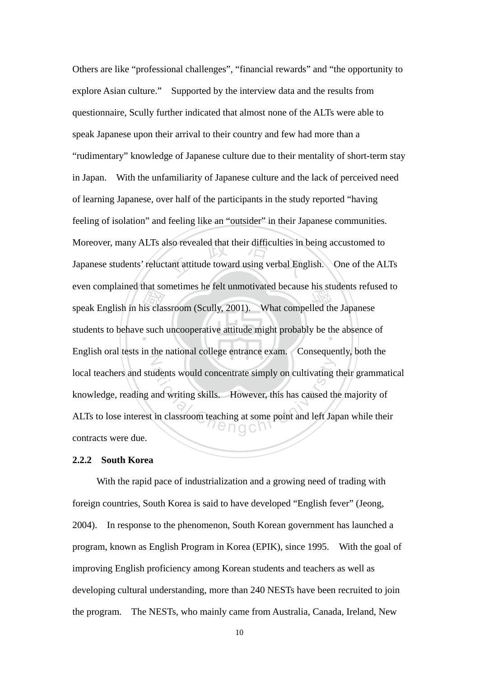that so<br>is class<br>class Iso revealed that their difficulties in l<br>ant attitude toward using verbal Eng even complained that sometimes he felt unmouvated because ins students ferus<br>speak English in his classroom (Scully, 2001). What compelled the Japanese students to behave such uncooperative attitude might probably be the absence of  $\overline{Z}$ atents would concentrate simply on cultivating t<br>and writing skills. However, this has caused the<br>in classroom teaching at some point and left Jap Others are like "professional challenges", "financial rewards" and "the opportunity to explore Asian culture." Supported by the interview data and the results from questionnaire, Scully further indicated that almost none of the ALTs were able to speak Japanese upon their arrival to their country and few had more than a "rudimentary" knowledge of Japanese culture due to their mentality of short-term stay in Japan. With the unfamiliarity of Japanese culture and the lack of perceived need of learning Japanese, over half of the participants in the study reported "having feeling of isolation" and feeling like an "outsider" in their Japanese communities. Moreover, many ALTs also revealed that their difficulties in being accustomed to Japanese students' reluctant attitude toward using verbal English. One of the ALTs even complained that sometimes he felt unmotivated because his students refused to English oral tests in the national college entrance exam. Consequently, both the local teachers and students would concentrate simply on cultivating their grammatical knowledge, reading and writing skills. However, this has caused the majority of ALTs to lose interest in classroom teaching at some point and left Japan while their contracts were due.

#### **2.2.2 South Korea**

With the rapid pace of industrialization and a growing need of trading with foreign countries, South Korea is said to have developed "English fever" (Jeong, 2004). In response to the phenomenon, South Korean government has launched a program, known as English Program in Korea (EPIK), since 1995. With the goal of improving English proficiency among Korean students and teachers as well as developing cultural understanding, more than 240 NESTs have been recruited to join the program. The NESTs, who mainly came from Australia, Canada, Ireland, New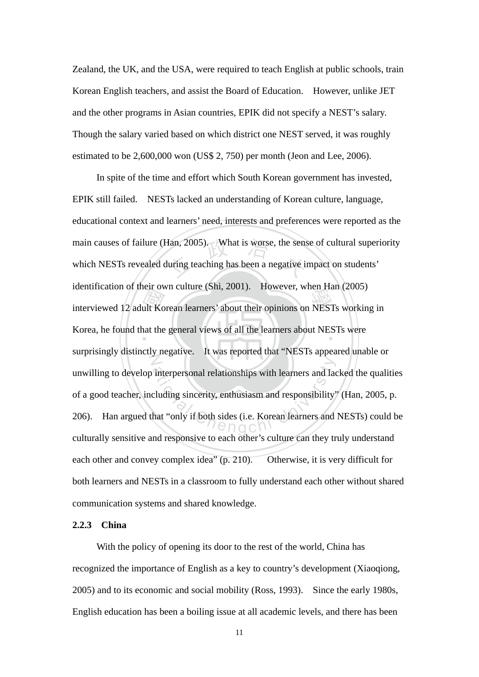Zealand, the UK, and the USA, were required to teach English at public schools, train Korean English teachers, and assist the Board of Education. However, unlike JET and the other programs in Asian countries, EPIK did not specify a NEST's salary. Though the salary varied based on which district one NEST served, it was roughly estimated to be 2,600,000 won (US\$ 2, 750) per month (Jeon and Lee, 2006).

Interviewed 12 adult Korean learners' about their opinions on NESTs working in<br>Korea, he found that the general views of all the learners about NESTs were Han, 2005). What is worse, the sense<br>luring teaching has been a negative in Korea, he found that the general views of all the learners about NESTs were N interpersonal relationships with learners and lacelluding sincerity, enthusiasm and responsibility<br>hat "only if both sides (i.e. Korean learners and In spite of the time and effort which South Korean government has invested, EPIK still failed. NESTs lacked an understanding of Korean culture, language, educational context and learners' need, interests and preferences were reported as the main causes of failure (Han, 2005). What is worse, the sense of cultural superiority which NESTs revealed during teaching has been a negative impact on students' identification of their own culture (Shi, 2001). However, when Han (2005) surprisingly distinctly negative. It was reported that "NESTs appeared unable or unwilling to develop interpersonal relationships with learners and lacked the qualities of a good teacher, including sincerity, enthusiasm and responsibility" (Han, 2005, p. 206). Han argued that "only if both sides (i.e. Korean learners and NESTs) could be culturally sensitive and responsive to each other's culture can they truly understand each other and convey complex idea" (p. 210). Otherwise, it is very difficult for both learners and NESTs in a classroom to fully understand each other without shared communication systems and shared knowledge.

# **2.2.3 China**

With the policy of opening its door to the rest of the world, China has recognized the importance of English as a key to country's development (Xiaoqiong, 2005) and to its economic and social mobility (Ross, 1993). Since the early 1980s, English education has been a boiling issue at all academic levels, and there has been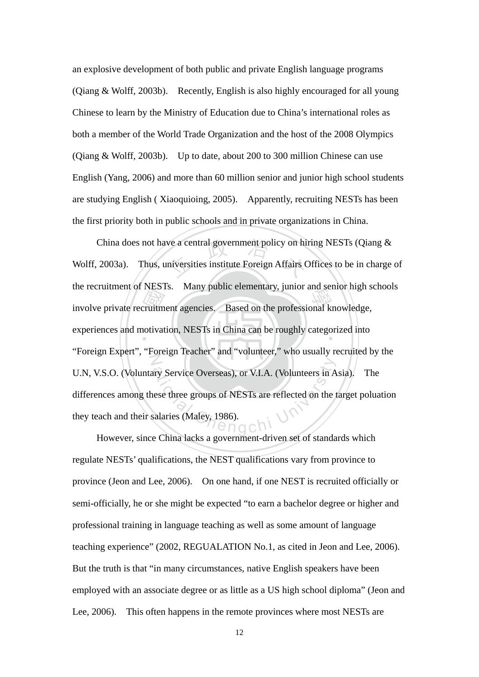an explosive development of both public and private English language programs (Qiang & Wolff, 2003b). Recently, English is also highly encouraged for all young Chinese to learn by the Ministry of Education due to China's international roles as both a member of the World Trade Organization and the host of the 2008 Olympics (Qiang & Wolff, 2003b). Up to date, about 200 to 300 million Chinese can use English (Yang, 2006) and more than 60 million senior and junior high school students are studying English ( Xiaoquioing, 2005). Apparently, recruiting NESTs has been the first priority both in public schools and in private organizations in China.

molve private recruitment agencies. Based on the professional knowledge,<br>experiences and motivation, NESTs in China can be roughly categorized into China does not have a central government policy on hiring NESTs (Qiang & 2003a). Thus, universities institute Foreign Affairs Offices to be in charge experiences and motivation, NESTs in China can be roughly categorized into Z ary Service Overseas), or V.I.A. (Volunteers in A<br>lese three groups of NESTs are reflected on the paralaries (Maley, 1986). Wolff, 2003a). Thus, universities institute Foreign Affairs Offices to be in charge of the recruitment of NESTs. Many public elementary, junior and senior high schools "Foreign Expert", "Foreign Teacher" and "volunteer," who usually recruited by the U.N, V.S.O. (Voluntary Service Overseas), or V.I.A. (Volunteers in Asia). The differences among these three groups of NESTs are reflected on the target poluation they teach and their salaries (Maley, 1986).

However, since China lacks a government-driven set of standards which regulate NESTs' qualifications, the NEST qualifications vary from province to province (Jeon and Lee, 2006). On one hand, if one NEST is recruited officially or semi-officially, he or she might be expected "to earn a bachelor degree or higher and professional training in language teaching as well as some amount of language teaching experience" (2002, REGUALATION No.1, as cited in Jeon and Lee, 2006). But the truth is that "in many circumstances, native English speakers have been employed with an associate degree or as little as a US high school diploma" (Jeon and Lee, 2006). This often happens in the remote provinces where most NESTs are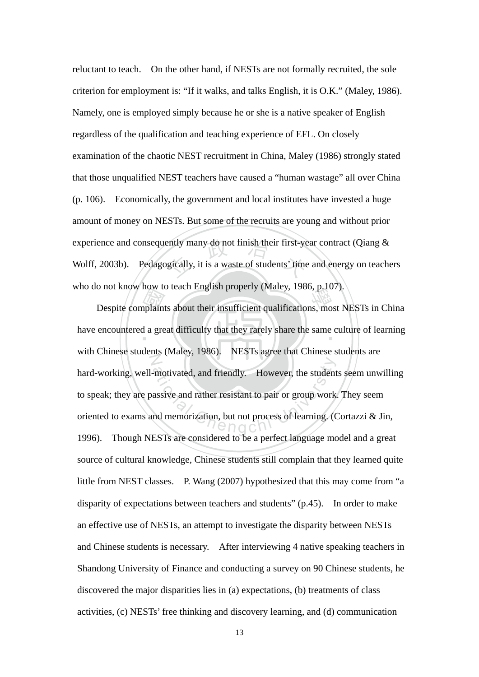experience and consequently many do not finish their first-year contract (Qiang & Wolff, 2003b). Pedagogically, it is a waste of students' time and energy on teacher reluctant to teach. On the other hand, if NESTs are not formally recruited, the sole criterion for employment is: "If it walks, and talks English, it is O.K." (Maley, 1986). Namely, one is employed simply because he or she is a native speaker of English regardless of the qualification and teaching experience of EFL. On closely examination of the chaotic NEST recruitment in China, Maley (1986) strongly stated that those unqualified NEST teachers have caused a "human wastage" all over China (p. 106). Economically, the government and local institutes have invested a huge amount of money on NESTs. But some of the recruits are young and without prior Wolff, 2003b). Pedagogically, it is a waste of students' time and energy on teachers who do not know how to teach English properly (Maley, 1986, p.107).

Despite complaints about their insufficient qualifications, most NESTs in China<br>encountered a great difficulty that they rarely share the same culture of learning have encountered a great difficulty that they rarely share the same culture of learning with Chinese students (Maley, 1986). motivated, and friendly. However, the student<br>assive and rather resistant to pair or group work<br>nd memorization, but not process of learning. (C NESTs agree that Chinese students are hard-working, well-motivated, and friendly. However, the students seem unwilling to speak; they are passive and rather resistant to pair or group work. They seem oriented to exams and memorization, but not process of learning. (Cortazzi & Jin, 1996). Though NESTs are considered to be a perfect language model and a great source of cultural knowledge, Chinese students still complain that they learned quite little from NEST classes. P. Wang (2007) hypothesized that this may come from "a disparity of expectations between teachers and students" (p.45). In order to make an effective use of NESTs, an attempt to investigate the disparity between NESTs and Chinese students is necessary. After interviewing 4 native speaking teachers in Shandong University of Finance and conducting a survey on 90 Chinese students, he discovered the major disparities lies in (a) expectations, (b) treatments of class activities, (c) NESTs' free thinking and discovery learning, and (d) communication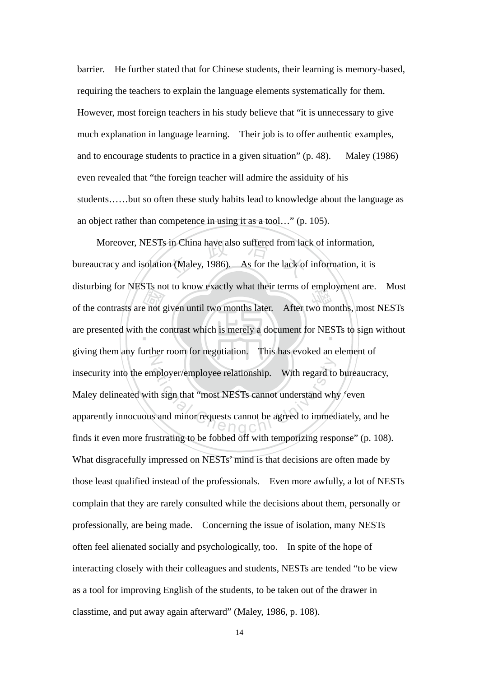barrier. He further stated that for Chinese students, their learning is memory-based, requiring the teachers to explain the language elements systematically for them. However, most foreign teachers in his study believe that "it is unnecessary to give much explanation in language learning. Their job is to offer authentic examples, and to encourage students to practice in a given situation" (p. 48). Maley (1986) even revealed that "the foreign teacher will admire the assiduity of his students……but so often these study habits lead to knowledge about the language as an object rather than competence in using it as a tool…" (p. 105).

of the contrasts are not given until two months later. After two months, most NESTs are presented with the contrast which is merely a document for NESTs to sign without in China have also suffered from lack<br>n (Maley, 1986). As for the lack of are presented with the contrast which is merely a document for NESTs to sign without N mployer/employee relationship. With regard to<br>th sign that "most NESTs cannot understand why<br>and minor requests cannot be agreed to immed<br> $\bigcirc$   $\bigcirc$   $\bigcirc$   $\bigcirc$   $\bigcirc$   $\bigcirc$  agreed to immed Moreover, NESTs in China have also suffered from lack of information, bureaucracy and isolation (Maley, 1986). As for the lack of information, it is disturbing for NESTs not to know exactly what their terms of employment are. Most giving them any further room for negotiation. This has evoked an element of insecurity into the employer/employee relationship. With regard to bureaucracy, Maley delineated with sign that "most NESTs cannot understand why 'even apparently innocuous and minor requests cannot be agreed to immediately, and he finds it even more frustrating to be fobbed off with temporizing response" (p. 108). What disgracefully impressed on NESTs' mind is that decisions are often made by those least qualified instead of the professionals. Even more awfully, a lot of NESTs complain that they are rarely consulted while the decisions about them, personally or professionally, are being made. Concerning the issue of isolation, many NESTs often feel alienated socially and psychologically, too. In spite of the hope of interacting closely with their colleagues and students, NESTs are tended "to be view as a tool for improving English of the students, to be taken out of the drawer in classtime, and put away again afterward" (Maley, 1986, p. 108).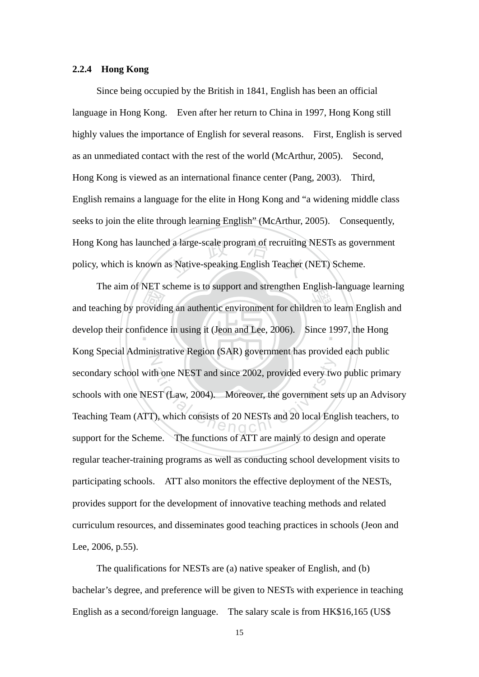#### **2.2.4 Hong Kong**

d a large-scale program of recruiting<br>as Native-speaking English Teacher ( Since being occupied by the British in 1841, English has been an official language in Hong Kong. Even after her return to China in 1997, Hong Kong still highly values the importance of English for several reasons. First, English is served as an unmediated contact with the rest of the world (McArthur, 2005). Second, Hong Kong is viewed as an international finance center (Pang, 2003). Third, English remains a language for the elite in Hong Kong and "a widening middle class seeks to join the elite through learning English" (McArthur, 2005). Consequently, Hong Kong has launched a large-scale program of recruiting NESTs as government policy, which is known as Native-speaking English Teacher (NET) Scheme.

The ann of NET scheme is to support and strengthen English-language learning<br>and teaching by providing an authentic environment for children to learn English and<br>develop their confidence in using it (Jeon and Lee, 2006). S develop their confidence in using it (Jeon and Lee, 2006). Since 1997, the Hong N th one NEST and since 2002, provided every tw<br>ST (Law, 2004). Moreover, the government se<br> $\therefore$ , which consists of 20 NESTs and 20 local Eng The aim of NET scheme is to support and strengthen English-language learning Kong Special Administrative Region (SAR) government has provided each public secondary school with one NEST and since 2002, provided every two public primary schools with one NEST (Law, 2004). Moreover, the government sets up an Advisory Teaching Team (ATT), which consists of 20 NESTs and 20 local English teachers, to support for the Scheme. The functions of ATT are mainly to design and operate regular teacher-training programs as well as conducting school development visits to participating schools. ATT also monitors the effective deployment of the NESTs, provides support for the development of innovative teaching methods and related curriculum resources, and disseminates good teaching practices in schools (Jeon and Lee, 2006, p.55).

The qualifications for NESTs are (a) native speaker of English, and (b) bachelar's degree, and preference will be given to NESTs with experience in teaching English as a second/foreign language. The salary scale is from HK\$16,165 (US\$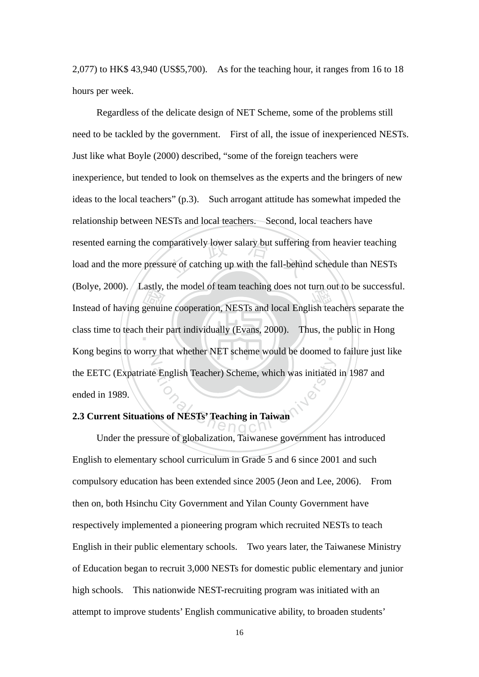2,077) to HK\$ 43,940 (US\$5,700). As for the teaching hour, it ranges from 16 to 18 hours per week.

Instead of having genuine cooperation, NESTs and local English teachers separate the class time to teach their part individually (Evans, 2000). Thus, the public in Hong resented earning the comparatively lower salary but suffering from heavier teaching<br>load and the more pressure of catching up with the fall-behind schedule than NESTs class time to teach their part individually (Evans, 2000). Thus, the public in Hong Z e English Teacher) Scheme, which was initiated<br>Displays of NESTs' Teaching in Taiwan Regardless of the delicate design of NET Scheme, some of the problems still need to be tackled by the government. First of all, the issue of inexperienced NESTs. Just like what Boyle (2000) described, "some of the foreign teachers were inexperience, but tended to look on themselves as the experts and the bringers of new ideas to the local teachers" (p.3). Such arrogant attitude has somewhat impeded the relationship between NESTs and local teachers. Second, local teachers have load and the more pressure of catching up with the fall-behind schedule than NESTs (Bolye, 2000). Lastly, the model of team teaching does not turn out to be successful. Kong begins to worry that whether NET scheme would be doomed to failure just like the EETC (Expatriate English Teacher) Scheme, which was initiated in 1987 and ended in 1989.

## **2.3 Current Situations of NESTs' Teaching in Taiwan**

Under the pressure of globalization, Taiwanese government has introduced English to elementary school curriculum in Grade 5 and 6 since 2001 and such compulsory education has been extended since 2005 (Jeon and Lee, 2006). From then on, both Hsinchu City Government and Yilan County Government have respectively implemented a pioneering program which recruited NESTs to teach English in their public elementary schools. Two years later, the Taiwanese Ministry of Education began to recruit 3,000 NESTs for domestic public elementary and junior high schools. This nationwide NEST-recruiting program was initiated with an attempt to improve students' English communicative ability, to broaden students'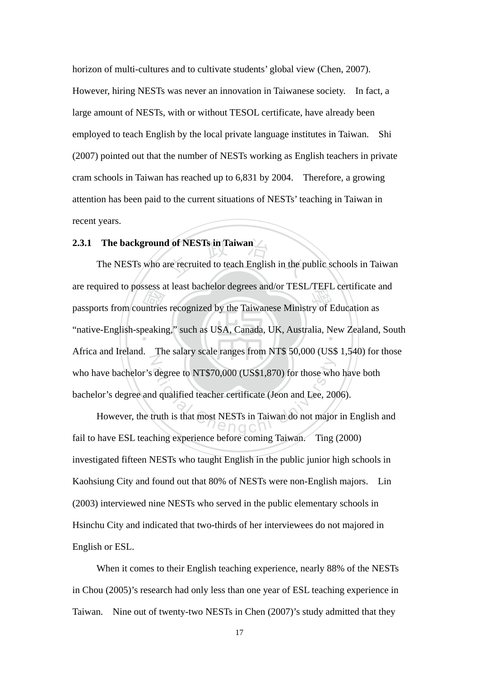horizon of multi-cultures and to cultivate students' global view (Chen, 2007).

However, hiring NESTs was never an innovation in Taiwanese society. In fact, a large amount of NESTs, with or without TESOL certificate, have already been employed to teach English by the local private language institutes in Taiwan. Shi (2007) pointed out that the number of NESTs working as English teachers in private cram schools in Taiwan has reached up to 6,831 by 2004. Therefore, a growing attention has been paid to the current situations of NESTs' teaching in Taiwan in recent years.

## **2.3.1 The background of NESTs in Taiwan**

ssess a<br>untries<br>beakin **1 of NESTs in Taiwan**<br>re recruited to teach English in the p are required to possess at least bachelor degrees and/or TESE/TEPE certificate a<br>passports from countries recognized by the Taiwanese Ministry of Education as ‧ "native-English-speaking," such as USA, Canada, UK, Australia, New Zealand, South N degree to NT\$70,000 (US\$1,870) for those who<br>d qualified teacher certificate (Jeon and Lee, 20)<br>truth is that most NESTs in Taiwan do not major The NESTs who are recruited to teach English in the public schools in Taiwan are required to possess at least bachelor degrees and/or TESL/TEFL certificate and Africa and Ireland. The salary scale ranges from NT\$ 50,000 (US\$ 1,540) for those who have bachelor's degree to NT\$70,000 (US\$1,870) for those who have both bachelor's degree and qualified teacher certificate (Jeon and Lee, 2006).

However, the truth is that most NESTs in Taiwan do not major in English and fail to have ESL teaching experience before coming Taiwan. Ting (2000) investigated fifteen NESTs who taught English in the public junior high schools in Kaohsiung City and found out that 80% of NESTs were non-English majors. Lin (2003) interviewed nine NESTs who served in the public elementary schools in Hsinchu City and indicated that two-thirds of her interviewees do not majored in English or ESL.

When it comes to their English teaching experience, nearly 88% of the NESTs in Chou (2005)'s research had only less than one year of ESL teaching experience in Taiwan. Nine out of twenty-two NESTs in Chen (2007)'s study admitted that they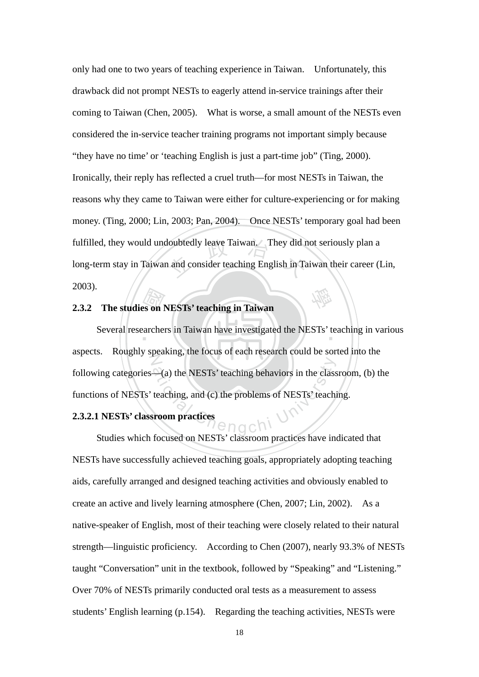loubtedly leave Taiwan. They did r<br>and consider teaching English in Ta 學 only had one to two years of teaching experience in Taiwan. Unfortunately, this drawback did not prompt NESTs to eagerly attend in-service trainings after their coming to Taiwan (Chen, 2005). What is worse, a small amount of the NESTs even considered the in-service teacher training programs not important simply because "they have no time' or 'teaching English is just a part-time job" (Ting, 2000). Ironically, their reply has reflected a cruel truth—for most NESTs in Taiwan, the reasons why they came to Taiwan were either for culture-experiencing or for making money. (Ting, 2000; Lin, 2003; Pan, 2004). Once NESTs' temporary goal had been fulfilled, they would undoubtedly leave Taiwan. They did not seriously plan a long-term stay in Taiwan and consider teaching English in Taiwan their career (Lin, 2003).

## **2.3.2 The studies on NESTs' teaching in Taiwan**

archeren Several researchers in Taiwan have investigated the NESTs' teaching in various Z  $\triangle$ (a) the NESTs' teaching behaviors in the class<br>teaching, and (c) the problems of NESTs' teachi<br>sroom practices aspects. Roughly speaking, the focus of each research could be sorted into the following categories—(a) the NESTs' teaching behaviors in the classroom, (b) the functions of NESTs' teaching, and (c) the problems of NESTs' teaching.

## **2.3.2.1 NESTs' classroom practices**

Studies which focused on NESTs' classroom practices have indicated that NESTs have successfully achieved teaching goals, appropriately adopting teaching aids, carefully arranged and designed teaching activities and obviously enabled to create an active and lively learning atmosphere (Chen, 2007; Lin, 2002). As a native-speaker of English, most of their teaching were closely related to their natural strength—linguistic proficiency. According to Chen (2007), nearly 93.3% of NESTs taught "Conversation" unit in the textbook, followed by "Speaking" and "Listening." Over 70% of NESTs primarily conducted oral tests as a measurement to assess students' English learning (p.154). Regarding the teaching activities, NESTs were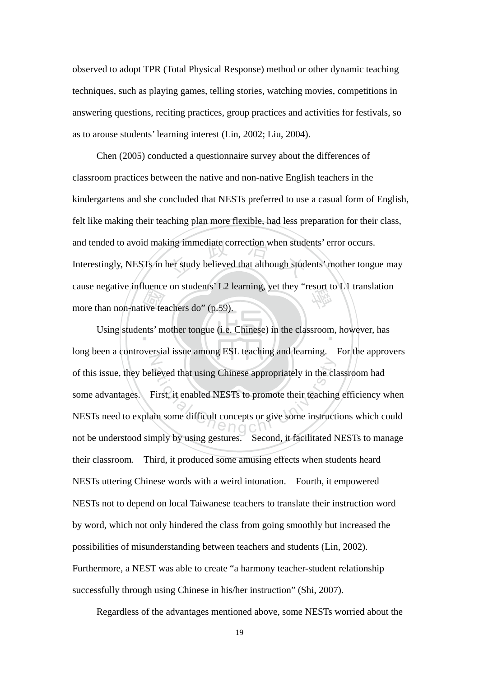observed to adopt TPR (Total Physical Response) method or other dynamic teaching techniques, such as playing games, telling stories, watching movies, competitions in answering questions, reciting practices, group practices and activities for festivals, so as to arouse students' learning interest (Lin, 2002; Liu, 2004).

France<br>ive text<br>nts' m and tended to avoid making immediate correction when students' error occurs.<br>Interestingly, NESTs in her study believed that although students' mother tongu cause negative influence on students' L2 learning, yet they "resort to L1 translation<br>more than non-native teachers do" (p.59). Chen (2005) conducted a questionnaire survey about the differences of classroom practices between the native and non-native English teachers in the kindergartens and she concluded that NESTs preferred to use a casual form of English, felt like making their teaching plan more flexible, had less preparation for their class, Interestingly, NESTs in her study believed that although students' mother tongue may more than non-native teachers do" (p.59).

Using students' mother tongue (i.e. Chinese) in the classroom, however, has N First, it enabled NESTs to promote their teaching<br>First, it enabled NESTs to promote their teaching<br>in some difficult concepts or give some instruct long been a controversial issue among ESL teaching and learning. For the approvers of this issue, they believed that using Chinese appropriately in the classroom had some advantages. First, it enabled NESTs to promote their teaching efficiency when NESTs need to explain some difficult concepts or give some instructions which could not be understood simply by using gestures. Second, it facilitated NESTs to manage their classroom. Third, it produced some amusing effects when students heard NESTs uttering Chinese words with a weird intonation. Fourth, it empowered NESTs not to depend on local Taiwanese teachers to translate their instruction word by word, which not only hindered the class from going smoothly but increased the possibilities of misunderstanding between teachers and students (Lin, 2002). Furthermore, a NEST was able to create "a harmony teacher-student relationship successfully through using Chinese in his/her instruction" (Shi, 2007).

Regardless of the advantages mentioned above, some NESTs worried about the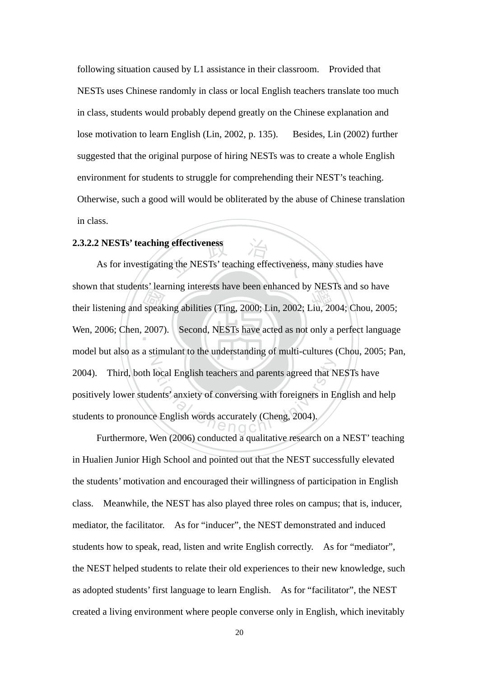following situation caused by L1 assistance in their classroom. Provided that NESTs uses Chinese randomly in class or local English teachers translate too much in class, students would probably depend greatly on the Chinese explanation and lose motivation to learn English (Lin, 2002, p. 135). Besides, Lin (2002) further suggested that the original purpose of hiring NESTs was to create a whole English environment for students to struggle for comprehending their NEST's teaching. Otherwise, such a good will would be obliterated by the abuse of Chinese translation in class.

# **2.3.2.2 NESTs' teaching effectiveness**

Shown that students Tearning interests have been emianted by NESTS and so have<br>their listening and speaking abilities (Ting, 2000; Lin, 2002; Liu, 2004; Chou, 2005;<br>Wen, 2006; Chen, 2007). Second, NESTs have acted as not o g effectiveness<br>lg the NESTs' teaching effectiveness Wen, 2006; Chen, 2007). Second, NESTs have acted as not only a perfect language N local English teachers and parents agreed that N<br>lents' anxiety of conversing with foreigners in E<br>e English words accurately (Cheng, 2004). As for investigating the NESTs' teaching effectiveness, many studies have shown that students' learning interests have been enhanced by NESTs and so have model but also as a stimulant to the understanding of multi-cultures (Chou, 2005; Pan, 2004). Third, both local English teachers and parents agreed that NESTs have positively lower students' anxiety of conversing with foreigners in English and help students to pronounce English words accurately (Cheng, 2004).

Furthermore, Wen (2006) conducted a qualitative research on a NEST' teaching in Hualien Junior High School and pointed out that the NEST successfully elevated the students' motivation and encouraged their willingness of participation in English class. Meanwhile, the NEST has also played three roles on campus; that is, inducer, mediator, the facilitator. As for "inducer", the NEST demonstrated and induced students how to speak, read, listen and write English correctly. As for "mediator", the NEST helped students to relate their old experiences to their new knowledge, such as adopted students' first language to learn English. As for "facilitator", the NEST created a living environment where people converse only in English, which inevitably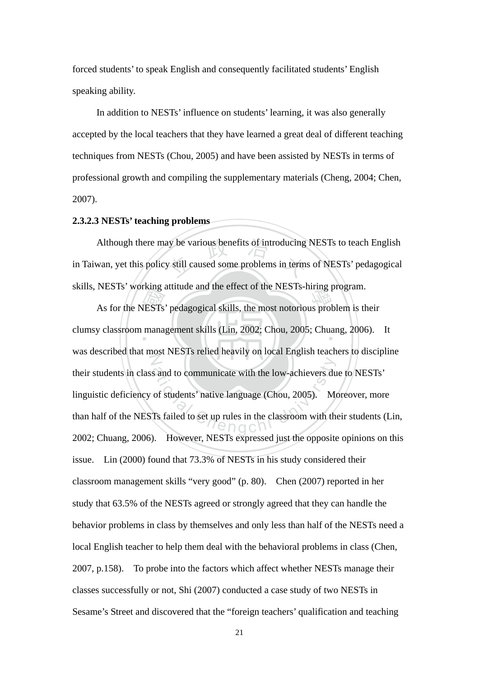forced students' to speak English and consequently facilitated students' English speaking ability.

In addition to NESTs' influence on students' learning, it was also generally accepted by the local teachers that they have learned a great deal of different teaching techniques from NESTs (Chou, 2005) and have been assisted by NESTs in terms of professional growth and compiling the supplementary materials (Cheng, 2004; Chen, 2007).

#### **2.3.2.3 NESTs' teaching problems**

Also various benefits of introducing<br>y still caused some problems in terms Although there may be various benefits of introducing NESTs to teach English in Taiwan, yet this policy still caused some problems in terms of NESTs' pedagogical skills, NESTs' working attitude and the effect of the NESTs-hiring program.

As for the NESTs' pedagogical skills, the most notorious problem is their<br>y classroom management skills (Lin, 2002; Chou, 2005; Chuang, 2006). ‧ clumsy classroom management skills (Lin, 2002; Chou, 2005; Chuang, 2006). It N ational Communicate with the low-achievers du<br>
of students' native language (Chou, 2005). Me<br>
Ts failed to set up rules in the classroom with the<br>
NET O C N was described that most NESTs relied heavily on local English teachers to discipline their students in class and to communicate with the low-achievers due to NESTs' linguistic deficiency of students' native language (Chou, 2005). Moreover, more than half of the NESTs failed to set up rules in the classroom with their students (Lin, 2002; Chuang, 2006). However, NESTs expressed just the opposite opinions on this issue. Lin (2000) found that 73.3% of NESTs in his study considered their classroom management skills "very good" (p. 80). Chen (2007) reported in her study that 63.5% of the NESTs agreed or strongly agreed that they can handle the behavior problems in class by themselves and only less than half of the NESTs need a local English teacher to help them deal with the behavioral problems in class (Chen, 2007, p.158). To probe into the factors which affect whether NESTs manage their classes successfully or not, Shi (2007) conducted a case study of two NESTs in Sesame's Street and discovered that the "foreign teachers' qualification and teaching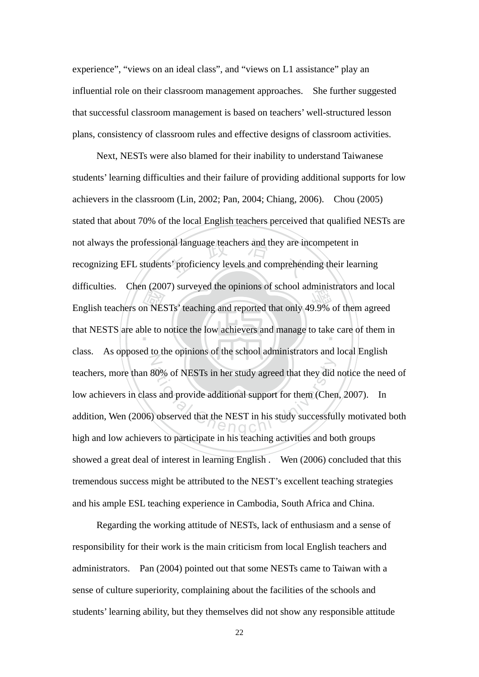experience", "views on an ideal class", and "views on L1 assistance" play an influential role on their classroom management approaches. She further suggested that successful classroom management is based on teachers' well-structured lesson plans, consistency of classroom rules and effective designs of classroom activities.

English teachers on NESTs' teaching and reported that only 49.9% of them agreed<br>that NESTS are able to notice the low achievers and manage to take care of them in not always the professional language teachers and they are incompetent in<br>recognizing EFL students' proficiency levels and comprehending their lear that NESTS are able to notice the low achievers and manage to take care of them in  $\ddot{\mathbb{Z}}$ 80% of NESTs in her study agreed that they did<br>
as and provide additional support for them (Chenge)<br>
observed that the NEST in his study successful<br>
O C N Next, NESTs were also blamed for their inability to understand Taiwanese students' learning difficulties and their failure of providing additional supports for low achievers in the classroom (Lin, 2002; Pan, 2004; Chiang, 2006). Chou (2005) stated that about 70% of the local English teachers perceived that qualified NESTs are recognizing EFL students' proficiency levels and comprehending their learning difficulties. Chen (2007) surveyed the opinions of school administrators and local class. As opposed to the opinions of the school administrators and local English teachers, more than 80% of NESTs in her study agreed that they did notice the need of low achievers in class and provide additional support for them (Chen, 2007). In addition, Wen (2006) observed that the NEST in his study successfully motivated both high and low achievers to participate in his teaching activities and both groups showed a great deal of interest in learning English . Wen (2006) concluded that this tremendous success might be attributed to the NEST's excellent teaching strategies and his ample ESL teaching experience in Cambodia, South Africa and China.

Regarding the working attitude of NESTs, lack of enthusiasm and a sense of responsibility for their work is the main criticism from local English teachers and administrators. Pan (2004) pointed out that some NESTs came to Taiwan with a sense of culture superiority, complaining about the facilities of the schools and students' learning ability, but they themselves did not show any responsible attitude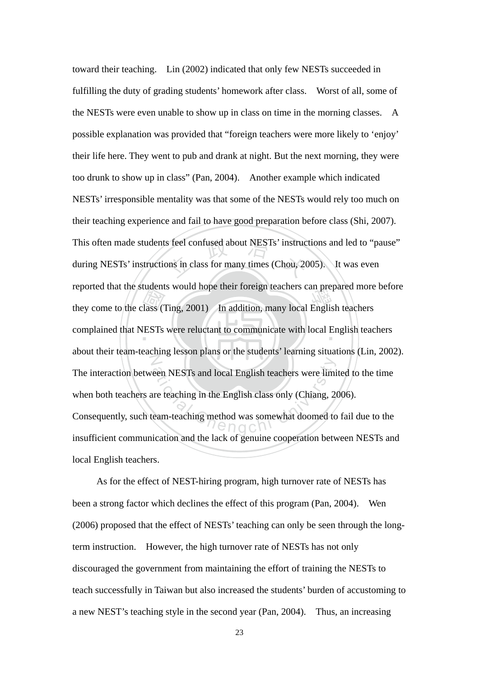they come to the class (Ting, 2001) In addition, many local English teachers<br>complained that NESTs were reluctant to communicate with local English teach s feel confused about NESTs' instructions in class for many times (Chou, 20 complained that NESTs were reluctant to communicate with local English teachers N een NESTs and local English teachers were limited<br>the teaching in the English class only (Chiang, 20<br>earn-teaching method was somewhat doomed to toward their teaching. Lin (2002) indicated that only few NESTs succeeded in fulfilling the duty of grading students' homework after class. Worst of all, some of the NESTs were even unable to show up in class on time in the morning classes. A possible explanation was provided that "foreign teachers were more likely to 'enjoy' their life here. They went to pub and drank at night. But the next morning, they were too drunk to show up in class" (Pan, 2004). Another example which indicated NESTs' irresponsible mentality was that some of the NESTs would rely too much on their teaching experience and fail to have good preparation before class (Shi, 2007). This often made students feel confused about NESTs' instructions and led to "pause" during NESTs' instructions in class for many times (Chou, 2005). It was even reported that the students would hope their foreign teachers can prepared more before about their team-teaching lesson plans or the students' learning situations (Lin, 2002). The interaction between NESTs and local English teachers were limited to the time when both teachers are teaching in the English class only (Chiang, 2006). Consequently, such team-teaching method was somewhat doomed to fail due to the insufficient communication and the lack of genuine cooperation between NESTs and local English teachers.

As for the effect of NEST-hiring program, high turnover rate of NESTs has been a strong factor which declines the effect of this program (Pan, 2004). Wen (2006) proposed that the effect of NESTs' teaching can only be seen through the longterm instruction. However, the high turnover rate of NESTs has not only discouraged the government from maintaining the effort of training the NESTs to teach successfully in Taiwan but also increased the students' burden of accustoming to a new NEST's teaching style in the second year (Pan, 2004). Thus, an increasing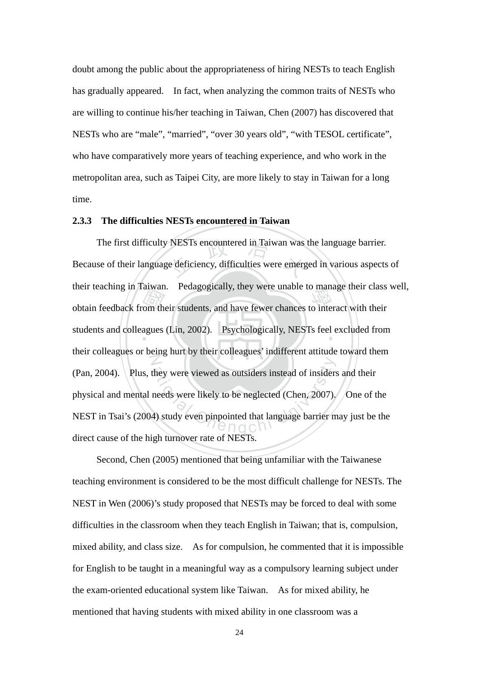doubt among the public about the appropriateness of hiring NESTs to teach English has gradually appeared. In fact, when analyzing the common traits of NESTs who are willing to continue his/her teaching in Taiwan, Chen (2007) has discovered that NESTs who are "male", "married", "over 30 years old", "with TESOL certificate", who have comparatively more years of teaching experience, and who work in the metropolitan area, such as Taipei City, are more likely to stay in Taiwan for a long time.

## **2.3.3 The difficulties NESTs encountered in Taiwan**

anward<br>com the<br>agues NESTs encountered in Taiwan was<br>redeficiency, difficulties were emerged men teaching in Tarwan. Feuagogically, they were that to manage their class<br>obtain feedback from their students, and have fewer chances to interact with their students and colleagues (Lin, 2002). Psychologically, NESTs feel excluded from  $\overline{Z}$ The they were viewed as outsiders instead of insiders<br>needs were likely to be neglected (Chen, 2007).<br>4) study even pinpointed that language barrier m The first difficulty NESTs encountered in Taiwan was the language barrier. Because of their language deficiency, difficulties were emerged in various aspects of their teaching in Taiwan. Pedagogically, they were unable to manage their class well, their colleagues or being hurt by their colleagues' indifferent attitude toward them (Pan, 2004). Plus, they were viewed as outsiders instead of insiders and their physical and mental needs were likely to be neglected (Chen, 2007). One of the NEST in Tsai's (2004) study even pinpointed that language barrier may just be the direct cause of the high turnover rate of NESTs.

Second, Chen (2005) mentioned that being unfamiliar with the Taiwanese teaching environment is considered to be the most difficult challenge for NESTs. The NEST in Wen (2006)'s study proposed that NESTs may be forced to deal with some difficulties in the classroom when they teach English in Taiwan; that is, compulsion, mixed ability, and class size. As for compulsion, he commented that it is impossible for English to be taught in a meaningful way as a compulsory learning subject under the exam-oriented educational system like Taiwan. As for mixed ability, he mentioned that having students with mixed ability in one classroom was a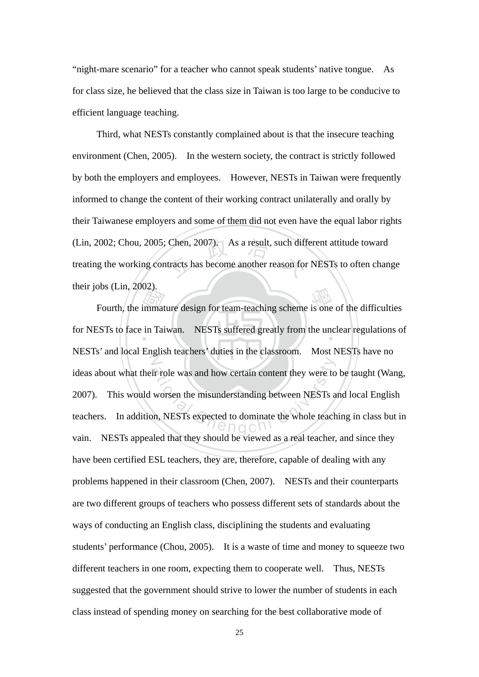"night-mare scenario" for a teacher who cannot speak students' native tongue. As for class size, he believed that the class size in Taiwan is too large to be conducive to efficient language teaching.

(Lin, 2002; Chou, 2005; Chen, 2007). As a result, such different attitude toward<br>treating the working contracts has become another reason for NESTs to often chan Third, what NESTs constantly complained about is that the insecure teaching environment (Chen, 2005). In the western society, the contract is strictly followed by both the employers and employees. However, NESTs in Taiwan were frequently informed to change the content of their working contract unilaterally and orally by their Taiwanese employers and some of them did not even have the equal labor rights treating the working contracts has become another reason for NESTs to often change their jobs (Lin, 2002).

Fourth, the immature design for team-teaching scheme is one of the difficulties<br>ESTs to face in Taiwan. NESTs suffered greatly from the unclear regulations of for NESTs to face in Taiwan. NESTs suffered greatly from the unclear regulations of  $\mathbb{Z}$ ir role was and how certain content they were to<br>worsen the misunderstanding between NESTs a<br>on, NESTs expected to dominate the whole teach NESTs' and local English teachers' duties in the classroom. Most NESTs have no ideas about what their role was and how certain content they were to be taught (Wang, 2007). This would worsen the misunderstanding between NESTs and local English teachers. In addition, NESTs expected to dominate the whole teaching in class but in vain. NESTs appealed that they should be viewed as a real teacher, and since they have been certified ESL teachers, they are, therefore, capable of dealing with any problems happened in their classroom (Chen, 2007). NESTs and their counterparts are two different groups of teachers who possess different sets of standards about the ways of conducting an English class, disciplining the students and evaluating students' performance (Chou, 2005). It is a waste of time and money to squeeze two different teachers in one room, expecting them to cooperate well. Thus, NESTs suggested that the government should strive to lower the number of students in each class instead of spending money on searching for the best collaborative mode of